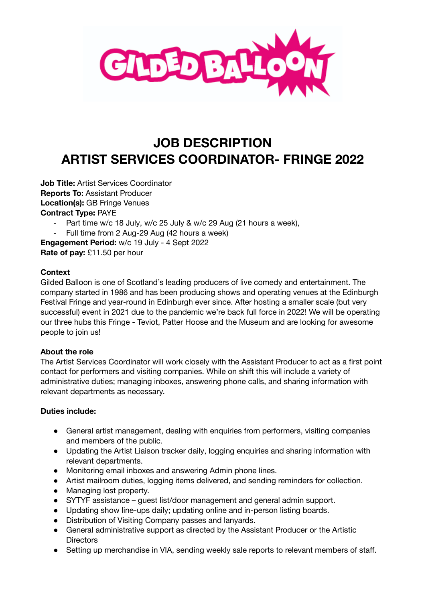

# **JOB DESCRIPTION ARTIST SERVICES COORDINATOR- FRINGE 2022**

**Job Title:** Artist Services Coordinator **Reports To:** Assistant Producer **Location(s):** GB Fringe Venues **Contract Type:** PAYE

- Part time w/c 18 July, w/c 25 July & w/c 29 Aug (21 hours a week),
- Full time from 2 Aug-29 Aug (42 hours a week)

**Engagement Period:** w/c 19 July - 4 Sept 2022 **Rate of pay:** £11.50 per hour

#### **Context**

Gilded Balloon is one of Scotland's leading producers of live comedy and entertainment. The company started in 1986 and has been producing shows and operating venues at the Edinburgh Festival Fringe and year-round in Edinburgh ever since. After hosting a smaller scale (but very successful) event in 2021 due to the pandemic we're back full force in 2022! We will be operating our three hubs this Fringe - Teviot, Patter Hoose and the Museum and are looking for awesome people to join us!

## **About the role**

The Artist Services Coordinator will work closely with the Assistant Producer to act as a first point contact for performers and visiting companies. While on shift this will include a variety of administrative duties; managing inboxes, answering phone calls, and sharing information with relevant departments as necessary.

#### **Duties include:**

- General artist management, dealing with enquiries from performers, visiting companies and members of the public.
- Updating the Artist Liaison tracker daily, logging enquiries and sharing information with relevant departments.
- Monitoring email inboxes and answering Admin phone lines.
- Artist mailroom duties, logging items delivered, and sending reminders for collection.
- Managing lost property.
- SYTYF assistance guest list/door management and general admin support.
- Updating show line-ups daily; updating online and in-person listing boards.
- Distribution of Visiting Company passes and lanyards.
- General administrative support as directed by the Assistant Producer or the Artistic **Directors**
- Setting up merchandise in VIA, sending weekly sale reports to relevant members of staff.